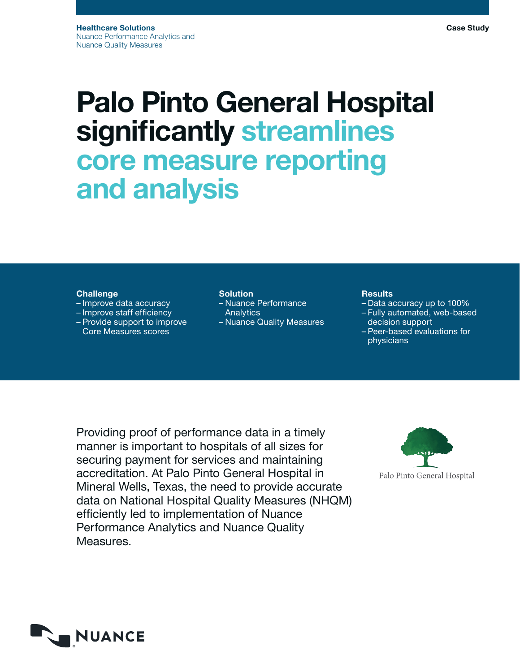# Palo Pinto General Hospital significantly streamlines core measure reporting and analysis

### **Challenge**

- Improve data accuracy
- Improve staff efficiency
- Provide support to improve Core Measures scores

## **Solution**

– Nuance Performance **Analytics** – Nuance Quality Measures

# **Results**

- Data accuracy up to 100%
- Fully automated, web-based decision support
- Peer-based evaluations for physicians

Providing proof of performance data in a timely manner is important to hospitals of all sizes for securing payment for services and maintaining accreditation. At Palo Pinto General Hospital in Mineral Wells, Texas, the need to provide accurate data on National Hospital Quality Measures (NHQM) efficiently led to implementation of Nuance Performance Analytics and Nuance Quality Measures.



Palo Pinto General Hospital